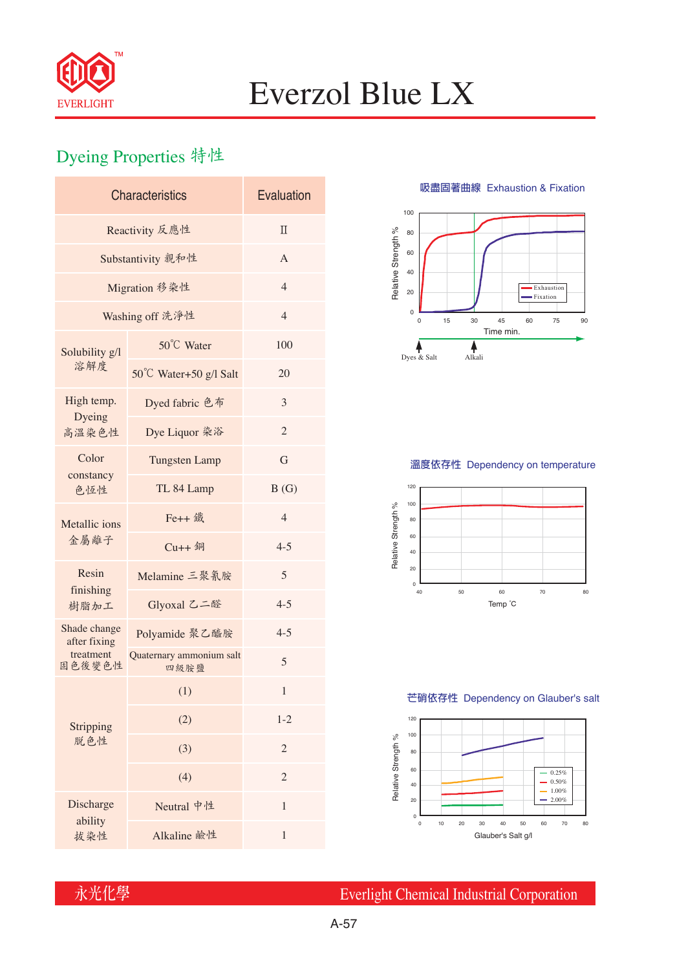

## Everzol Blue LX

## Dyeing Properties 特性

| <b>Characteristics</b>       | Evaluation                       |                |  |  |  |  |
|------------------------------|----------------------------------|----------------|--|--|--|--|
| Reactivity 反應性               | $\Pi$                            |                |  |  |  |  |
| Substantivity 親和性            | $\overline{A}$                   |                |  |  |  |  |
| Migration 移染性                | $\overline{4}$                   |                |  |  |  |  |
| Washing off 洗淨性              | $\overline{4}$                   |                |  |  |  |  |
| Solubility g/l<br>溶解度        | 50°C Water                       | 100            |  |  |  |  |
|                              | 50°C Water+50 g/l Salt           | 20             |  |  |  |  |
| High temp.<br>Dyeing         | Dyed fabric 色布                   | 3              |  |  |  |  |
| 高溫染色性                        | Dye Liquor 染浴                    | $\mathfrak{2}$ |  |  |  |  |
| Color<br>constancy<br>色恆性    | <b>Tungsten Lamp</b>             | G              |  |  |  |  |
|                              | TL 84 Lamp                       | B(G)           |  |  |  |  |
| Metallic ions<br>金屬離子        | Fe++ 鐵                           | $\overline{4}$ |  |  |  |  |
|                              | $Cu++4$                          | $4 - 5$        |  |  |  |  |
| Resin<br>finishing<br>樹脂加工   | Melamine 三聚氰胺                    | 5              |  |  |  |  |
|                              | Glyoxal 乙二醛                      | $4 - 5$        |  |  |  |  |
| Shade change<br>after fixing | Polyamide 聚乙醯胺                   | $4 - 5$        |  |  |  |  |
| treatment<br>固色後變色性          | Quaternary ammonium salt<br>四級胺鹽 | 5              |  |  |  |  |
| Stripping<br>脱色性             | (1)                              | 1              |  |  |  |  |
|                              | (2)                              | $1 - 2$        |  |  |  |  |
|                              | (3)                              | 2              |  |  |  |  |
|                              | (4)                              | $\mathfrak{2}$ |  |  |  |  |
| Discharge<br>ability         | Neutral 中性                       | $\mathbf{1}$   |  |  |  |  |
| 拔染性                          | Alkaline 鹼性                      | 1              |  |  |  |  |

**吸盡固著曲線** Exhaustion & Fixation



### **溫度依存性** Dependency on temperature



#### **芒硝依存性** Dependency on Glauber's salt